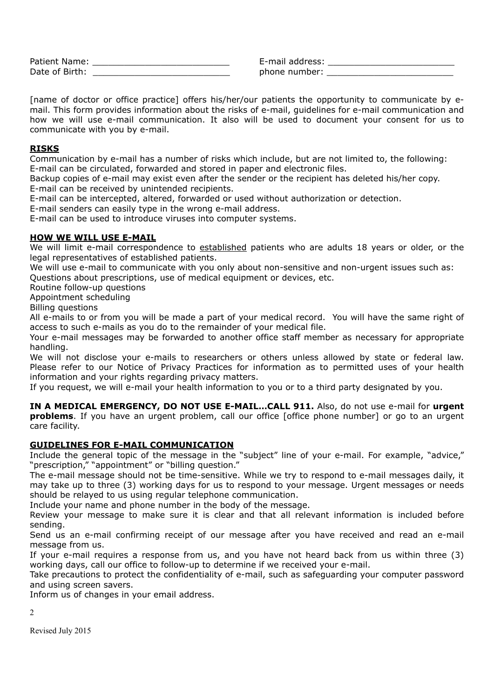| Patient Name:  |  |
|----------------|--|
| Date of Birth: |  |

Patient Name: \_\_\_\_\_\_\_\_\_\_\_\_\_\_\_\_\_\_\_\_\_\_\_\_\_\_ E-mail address: \_\_\_\_\_\_\_\_\_\_\_\_\_\_\_\_\_\_\_\_\_\_\_\_ phone number:

[name of doctor or office practice] offers his/her/our patients the opportunity to communicate by email. This form provides information about the risks of e-mail, guidelines for e-mail communication and how we will use e-mail communication. It also will be used to document your consent for us to communicate with you by e-mail.

## **RISKS**

Communication by e-mail has a number of risks which include, but are not limited to, the following: E-mail can be circulated, forwarded and stored in paper and electronic files.

Backup copies of e-mail may exist even after the sender or the recipient has deleted his/her copy. E-mail can be received by unintended recipients.

E-mail can be intercepted, altered, forwarded or used without authorization or detection.

E-mail senders can easily type in the wrong e-mail address.

E-mail can be used to introduce viruses into computer systems.

## **HOW WE WILL USE E-MAIL**

We will limit e-mail correspondence to established patients who are adults 18 years or older, or the legal representatives of established patients.

We will use e-mail to communicate with you only about non-sensitive and non-urgent issues such as: Questions about prescriptions, use of medical equipment or devices, etc.

Routine follow-up questions Appointment scheduling

Billing questions

All e-mails to or from you will be made a part of your medical record. You will have the same right of access to such e-mails as you do to the remainder of your medical file.

Your e-mail messages may be forwarded to another office staff member as necessary for appropriate handling.

We will not disclose your e-mails to researchers or others unless allowed by state or federal law. Please refer to our Notice of Privacy Practices for information as to permitted uses of your health information and your rights regarding privacy matters.

If you request, we will e-mail your health information to you or to a third party designated by you.

**IN A MEDICAL EMERGENCY, DO NOT USE E-MAIL…CALL 911.** Also, do not use e-mail for **urgent problems**. If you have an urgent problem, call our office [office phone number] or go to an urgent care facility.

## **GUIDELINES FOR E-MAIL COMMUNICATION**

Include the general topic of the message in the "subject" line of your e-mail. For example, "advice," "prescription," "appointment" or "billing question."

The e-mail message should not be time-sensitive. While we try to respond to e-mail messages daily, it may take up to three (3) working days for us to respond to your message. Urgent messages or needs should be relayed to us using regular telephone communication.

Include your name and phone number in the body of the message.

Review your message to make sure it is clear and that all relevant information is included before sending.

Send us an e-mail confirming receipt of our message after you have received and read an e-mail message from us.

If your e-mail requires a response from us, and you have not heard back from us within three (3) working days, call our office to follow-up to determine if we received your e-mail.

Take precautions to protect the confidentiality of e-mail, such as safeguarding your computer password and using screen savers.

Inform us of changes in your email address.

2

Revised July 2015